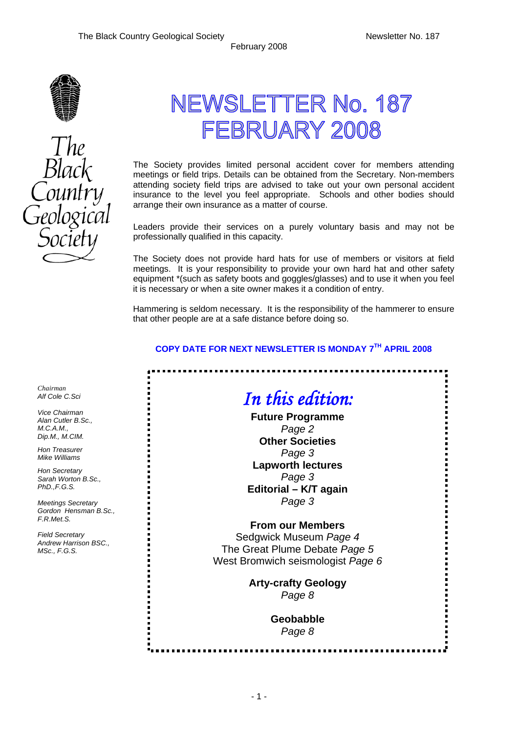Ē



# NEWSLETTER No. 187 FEBRUARY 2008

The Society provides limited personal accident cover for members attending meetings or field trips. Details can be obtained from the Secretary. Non-members attending society field trips are advised to take out your own personal accident insurance to the level you feel appropriate. Schools and other bodies should arrange their own insurance as a matter of course.

Leaders provide their services on a purely voluntary basis and may not be professionally qualified in this capacity.

The Society does not provide hard hats for use of members or visitors at field meetings. It is your responsibility to provide your own hard hat and other safety equipment \*(such as safety boots and goggles/glasses) and to use it when you feel it is necessary or when a site owner makes it a condition of entry.

Hammering is seldom necessary. It is the responsibility of the hammerer to ensure that other people are at a safe distance before doing so.

### **COPY DATE FOR NEXT NEWSLETTER IS MONDAY 7TH APRIL 2008**

.............................

## *In this edition:*

**Future Programme**  *Page 2*  **Other Societies**  *Page 3*  **Lapworth lectures**  *Page 3*  **Editorial – K/T again**  *Page 3* 

### **From our Members**

Sedgwick Museum *Page 4*  The Great Plume Debate *Page 5*  West Bromwich seismologist *Page 6* 

> **Arty-crafty Geology**  *Page 8*

> > **Geobabble**  *Page 8*

*Chairman Alf Cole C.Sci* 

*Vice Chairman Alan Cutler B.Sc., M.C.A.M., Dip.M., M.CIM.* 

*Hon Treasurer Mike Williams* 

*Hon Secretary Sarah Worton B.Sc., PhD.,F.G.S.* 

*Meetings Secretary Gordon Hensman B.Sc., F.R.Met.S.* 

*Field Secretary Andrew Harrison BSC., MSc., F.G.S.*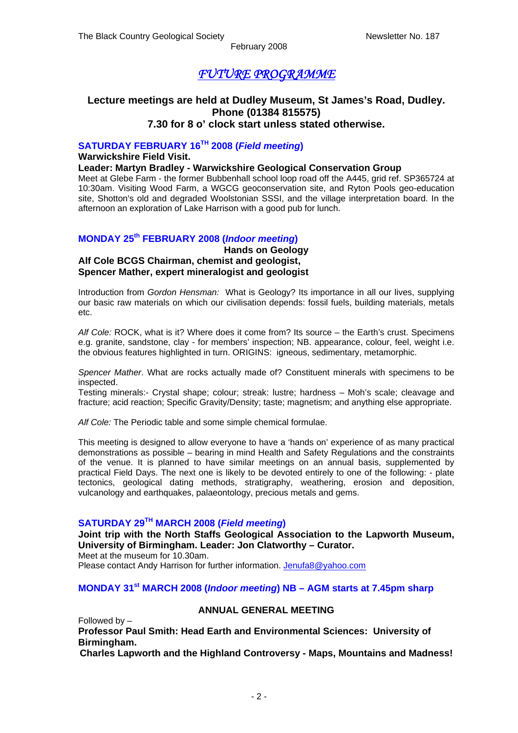February 2008

### *FUTURE PROGRAMME*

### **Lecture meetings are held at Dudley Museum, St James's Road, Dudley. Phone (01384 815575) 7.30 for 8 o' clock start unless stated otherwise.**

### **SATURDAY FEBRUARY 16TH 2008 (***Field meeting***)**

**Warwickshire Field Visit.** 

#### **Leader: Martyn Bradley - Warwickshire Geological Conservation Group**

Meet at Glebe Farm - the former Bubbenhall school loop road off the A445, grid ref. SP365724 at 10:30am. Visiting Wood Farm, a WGCG geoconservation site, and Ryton Pools geo-education site, Shotton's old and degraded Woolstonian SSSI, and the village interpretation board. In the afternoon an exploration of Lake Harrison with a good pub for lunch.

### **MONDAY 25th FEBRUARY 2008 (***Indoor meeting***)**

#### **Hands on Geology Alf Cole BCGS Chairman, chemist and geologist, Spencer Mather, expert mineralogist and geologist**

Introduction from *Gordon Hensman:* What is Geology? Its importance in all our lives, supplying our basic raw materials on which our civilisation depends: fossil fuels, building materials, metals etc.

*Alf Cole:* ROCK, what is it? Where does it come from? Its source – the Earth's crust. Specimens e.g. granite, sandstone, clay - for members' inspection; NB. appearance, colour, feel, weight i.e. the obvious features highlighted in turn. ORIGINS: igneous, sedimentary, metamorphic.

*Spencer Mather*. What are rocks actually made of? Constituent minerals with specimens to be inspected.

Testing minerals:- Crystal shape; colour; streak: lustre; hardness – Moh's scale; cleavage and fracture; acid reaction; Specific Gravity/Density; taste; magnetism; and anything else appropriate.

*Alf Cole:* The Periodic table and some simple chemical formulae.

This meeting is designed to allow everyone to have a 'hands on' experience of as many practical demonstrations as possible – bearing in mind Health and Safety Regulations and the constraints of the venue. It is planned to have similar meetings on an annual basis, supplemented by practical Field Days. The next one is likely to be devoted entirely to one of the following: - plate tectonics, geological dating methods, stratigraphy, weathering, erosion and deposition, vulcanology and earthquakes, palaeontology, precious metals and gems.

### **SATURDAY 29TH MARCH 2008 (***Field meeting***)**

**Joint trip with the North Staffs Geological Association to the Lapworth Museum, University of Birmingham. Leader: Jon Clatworthy – Curator.** Meet at the museum for 10.30am.

Please contact Andy Harrison for further information. [Jenufa8@yahoo.com](mailto:Jenufa8@yahoo.com)

### **MONDAY 31st MARCH 2008 (***Indoor meeting***) NB – AGM starts at 7.45pm sharp**

#### **ANNUAL GENERAL MEETING**

Followed by –

**Professor Paul Smith: Head Earth and Environmental Sciences: University of Birmingham.** 

**Charles Lapworth and the Highland Controversy - Maps, Mountains and Madness!**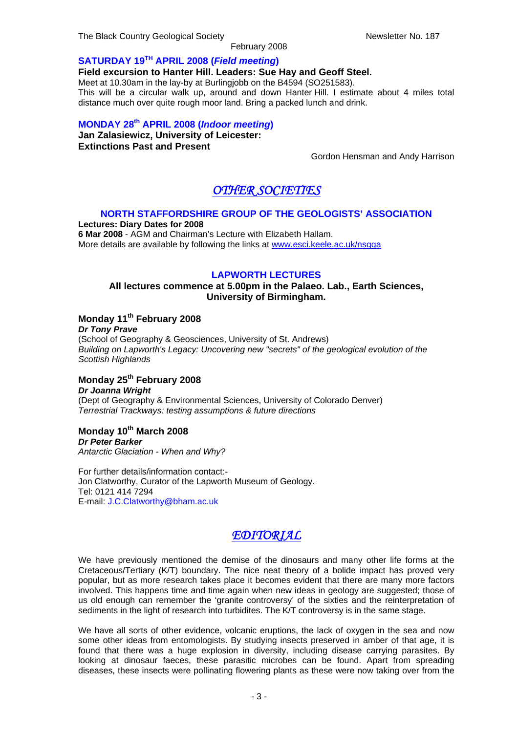The Black Country Geological Society Newsletter No. 187

February 2008

### **SATURDAY 19TH APRIL 2008 (***Field meeting***)**

**Field excursion to Hanter Hill. Leaders: Sue Hay and Geoff Steel.** 

Meet at 10.30am in the lay-by at Burlingjobb on the B4594 (SO251583).

This will be a circular walk up, around and down Hanter Hill. I estimate about 4 miles total distance much over quite rough moor land. Bring a packed lunch and drink.

### **MONDAY 28th APRIL 2008 (***Indoor meeting***)**

**Jan Zalasiewicz, University of Leicester: Extinctions Past and Present**

Gordon Hensman and Andy Harrison

### *OTHER SOCIETIES*

### **NORTH STAFFORDSHIRE GROUP OF THE GEOLOGISTS' ASSOCIATION**

**Lectures: Diary Dates for 2008 6 Mar 2008** - AGM and Chairman's Lecture with Elizabeth Hallam. More details are available by following the links at [www.esci.keele.ac.uk/nsgga](http://www.esci.keele.ac.uk/nsgga)

### **LAPWORTH LECTURES**

### **All lectures commence at 5.00pm in the Palaeo. Lab., Earth Sciences, University of Birmingham.**

### **Monday 11th February 2008**

*Dr Tony Prave*  (School of Geography & Geosciences, University of St. Andrews) *Building on Lapworth's Legacy: Uncovering new "secrets" of the geological evolution of the Scottish Highlands* 

### **Monday 25th February 2008**  *Dr Joanna Wright*

(Dept of Geography & Environmental Sciences, University of Colorado Denver) *Terrestrial Trackways: testing assumptions & future directions* 

### **Monday 10th March 2008**

*Dr Peter Barker Antarctic Glaciation - When and Why?* 

For further details/information contact:- Jon Clatworthy, Curator of the Lapworth Museum of Geology. Tel: 0121 414 7294 E-mail: [J.C.Clatworthy@bham.ac.uk](mailto:J.C.Clatworthy@bham.ac.uk)

### *EDITORIAL*

We have previously mentioned the demise of the dinosaurs and many other life forms at the Cretaceous/Tertiary (K/T) boundary. The nice neat theory of a bolide impact has proved very popular, but as more research takes place it becomes evident that there are many more factors involved. This happens time and time again when new ideas in geology are suggested; those of us old enough can remember the 'granite controversy' of the sixties and the reinterpretation of sediments in the light of research into turbidites. The K/T controversy is in the same stage.

We have all sorts of other evidence, volcanic eruptions, the lack of oxygen in the sea and now some other ideas from entomologists. By studying insects preserved in amber of that age, it is found that there was a huge explosion in diversity, including disease carrying parasites. By looking at dinosaur faeces, these parasitic microbes can be found. Apart from spreading diseases, these insects were pollinating flowering plants as these were now taking over from the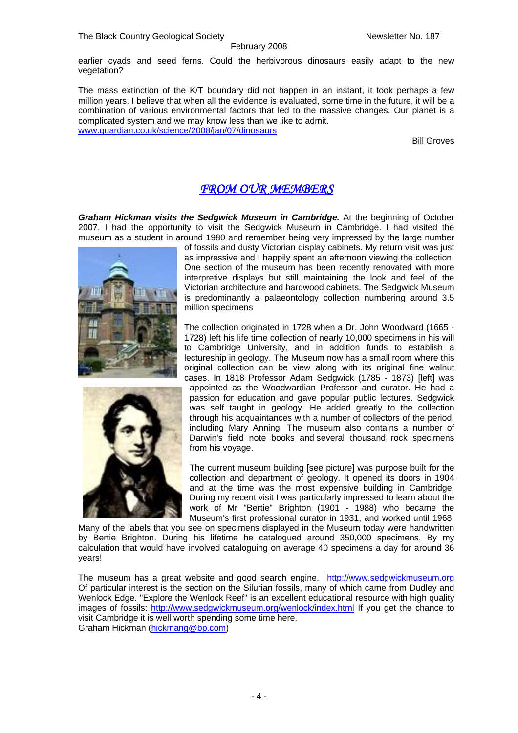February 2008 earlier cyads and seed ferns. Could the herbivorous dinosaurs easily adapt to the new vegetation?

The mass extinction of the K/T boundary did not happen in an instant, it took perhaps a few million years. I believe that when all the evidence is evaluated, some time in the future, it will be a combination of various environmental factors that led to the massive changes. Our planet is a complicated system and we may know less than we like to admit. [www.guardian.co.uk/science/2008/jan/07/dinosaurs](http://www.guardian.co.uk/science/2008/jan/07/dinosaurs) 

Bill Groves

### *FROM OUR MEMBERS*

**Graham Hickman visits the Sedgwick Museum in Cambridge.** At the beginning of October 2007, I had the opportunity to visit the Sedgwick Museum in Cambridge. I had visited the museum as a student in around 1980 and remember being very impressed by the large number





of fossils and dusty Victorian display cabinets. My return visit was just as impressive and I happily spent an afternoon viewing the collection. One section of the museum has been recently renovated with more interpretive displays but still maintaining the look and feel of the Victorian architecture and hardwood cabinets. The Sedgwick Museum is predominantly a palaeontology collection numbering around 3.5 million specimens

The collection originated in 1728 when a Dr. John Woodward (1665 - 1728) left his life time collection of nearly 10,000 specimens in his will to Cambridge University, and in addition funds to establish a lectureship in geology. The Museum now has a small room where this original collection can be view along with its original fine walnut cases. In 1818 Professor Adam Sedgwick (1785 - 1873) [left] was appointed as the Woodwardian Professor and curator. He had a passion for education and gave popular public lectures. Sedgwick was self taught in geology. He added greatly to the collection through his acquaintances with a number of collectors of the period, including Mary Anning. The museum also contains a number of Darwin's field note books and several thousand rock specimens from his voyage.

The current museum building [see picture] was purpose built for the collection and department of geology. It opened its doors in 1904 and at the time was the most expensive building in Cambridge. During my recent visit I was particularly impressed to learn about the work of Mr "Bertie" Brighton (1901 - 1988) who became the Museum's first professional curator in 1931, and worked until 1968.

Many of the labels that you see on specimens displayed in the Museum today were handwritten by Bertie Brighton. During his lifetime he catalogued around 350,000 specimens. By my calculation that would have involved cataloguing on average 40 specimens a day for around 36 years!

The museum has a great website and good search engine. [http://www.sedgwickmuseum.org](http://www.sedgwickmuseum.org/) Of particular interest is the section on the Silurian fossils, many of which came from Dudley and Wenlock Edge. "Explore the Wenlock Reef" is an excellent educational resource with high quality images of fossils: <http://www.sedgwickmuseum.org/wenlock/index.html>If you get the chance to visit Cambridge it is well worth spending some time here. Graham Hickman ([hickmang@bp.com\)](mailto:hickmang@bp.com)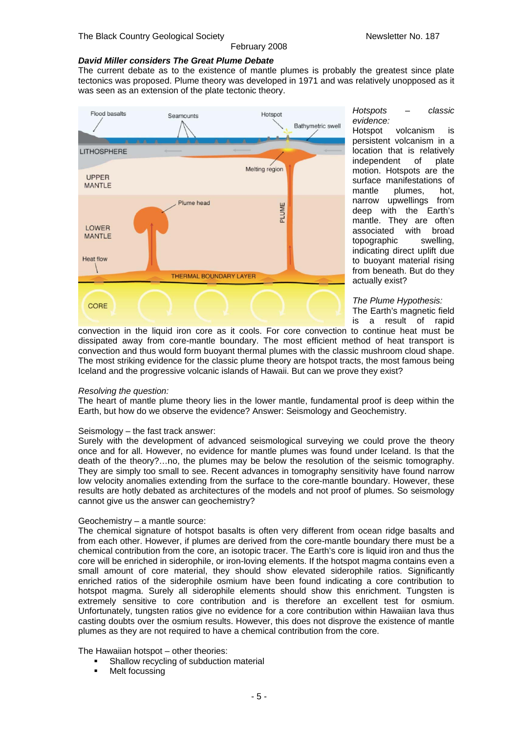#### *David Miller considers The Great Plume Debate*

The current debate as to the existence of mantle plumes is probably the greatest since plate tectonics was proposed. Plume theory was developed in 1971 and was relatively unopposed as it was seen as an extension of the plate tectonic theory.

February 2008



*Hotspots – classic evidence:*

volcanism is persistent volcanism in a location that is relatively independent of plate motion. Hotspots are the surface manifestations of mantle plumes, hot, narrow upwellings from deep with the Earth's mantle. They are often associated with broad topographic swelling, indicating direct uplift due to buoyant material rising from beneath. But do they actually exist?

*The Plume Hypothesis:*  The Earth's magnetic field is a result of rapid

convection in the liquid iron core as it cools. For core convection to continue heat must be dissipated away from core-mantle boundary. The most efficient method of heat transport is convection and thus would form buoyant thermal plumes with the classic mushroom cloud shape. The most striking evidence for the classic plume theory are hotspot tracts, the most famous being Iceland and the progressive volcanic islands of Hawaii. But can we prove they exist?

#### *Resolving the question:*

The heart of mantle plume theory lies in the lower mantle, fundamental proof is deep within the Earth, but how do we observe the evidence? Answer: Seismology and Geochemistry.

#### Seismology – the fast track answer:

Surely with the development of advanced seismological surveying we could prove the theory once and for all. However, no evidence for mantle plumes was found under Iceland. Is that the death of the theory?…no, the plumes may be below the resolution of the seismic tomography. They are simply too small to see. Recent advances in tomography sensitivity have found narrow low velocity anomalies extending from the surface to the core-mantle boundary. However, these results are hotly debated as architectures of the models and not proof of plumes. So seismology cannot give us the answer can geochemistry?

#### Geochemistry – a mantle source:

The chemical signature of hotspot basalts is often very different from ocean ridge basalts and from each other. However, if plumes are derived from the core-mantle boundary there must be a chemical contribution from the core, an isotopic tracer. The Earth's core is liquid iron and thus the core will be enriched in siderophile, or iron-loving elements. If the hotspot magma contains even a small amount of core material, they should show elevated siderophile ratios. Significantly enriched ratios of the siderophile osmium have been found indicating a core contribution to hotspot magma. Surely all siderophile elements should show this enrichment. Tungsten is extremely sensitive to core contribution and is therefore an excellent test for osmium. Unfortunately, tungsten ratios give no evidence for a core contribution within Hawaiian lava thus casting doubts over the osmium results. However, this does not disprove the existence of mantle plumes as they are not required to have a chemical contribution from the core.

#### The Hawaiian hotspot – other theories:

- Shallow recycling of subduction material
- Melt focussing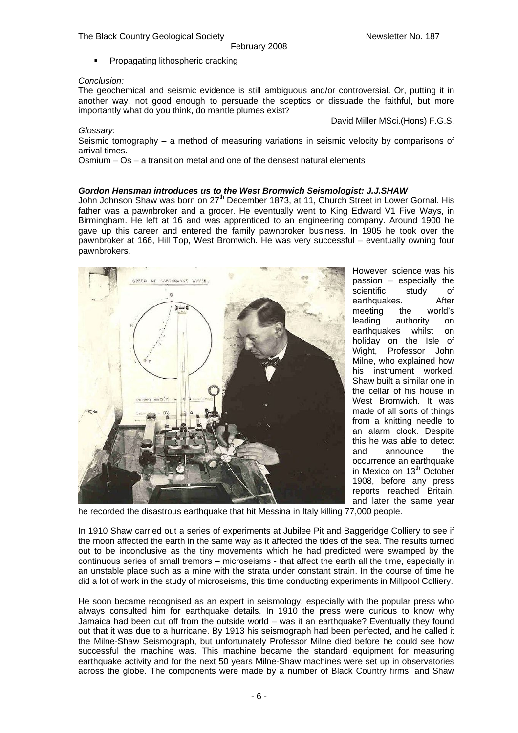The Black Country Geological Society Newsletter No. 187

Propagating lithospheric cracking

#### *Conclusion:*

The geochemical and seismic evidence is still ambiguous and/or controversial. Or, putting it in another way, not good enough to persuade the sceptics or dissuade the faithful, but more importantly what do you think, do mantle plumes exist?

David Miller MSci.(Hons) F.G.S.

*Glossary*: Seismic tomography – a method of measuring variations in seismic velocity by comparisons of arrival times.

Osmium  $-$  Os  $-$  a transition metal and one of the densest natural elements

#### *Gordon Hensman introduces us to the West Bromwich Seismologist: J.J.SHAW*

John Johnson Shaw was born on  $27^{\text{th}}$  December 1873, at 11, Church Street in Lower Gornal. His father was a pawnbroker and a grocer. He eventually went to King Edward V1 Five Ways, in Birmingham. He left at 16 and was apprenticed to an engineering company. Around 1900 he gave up this career and entered the family pawnbroker business. In 1905 he took over the pawnbroker at 166, Hill Top, West Bromwich. He was very successful – eventually owning four pawnbrokers.



However, science was his passion – especially the scientific study of earthquakes. After meeting the world's leading authority on earthquakes whilst on holiday on the Isle of Wight, Professor John Milne, who explained how his instrument worked, Shaw built a similar one in the cellar of his house in West Bromwich. It was made of all sorts of things from a knitting needle to an alarm clock. Despite this he was able to detect and announce the occurrence an earthquake in Mexico on 13<sup>th</sup> October 1908, before any press reports reached Britain, and later the same year

he recorded the disastrous earthquake that hit Messina in Italy killing 77,000 people.

In 1910 Shaw carried out a series of experiments at Jubilee Pit and Baggeridge Colliery to see if the moon affected the earth in the same way as it affected the tides of the sea. The results turned out to be inconclusive as the tiny movements which he had predicted were swamped by the continuous series of small tremors – microseisms - that affect the earth all the time, especially in an unstable place such as a mine with the strata under constant strain. In the course of time he did a lot of work in the study of microseisms, this time conducting experiments in Millpool Colliery.

He soon became recognised as an expert in seismology, especially with the popular press who always consulted him for earthquake details. In 1910 the press were curious to know why Jamaica had been cut off from the outside world – was it an earthquake? Eventually they found out that it was due to a hurricane. By 1913 his seismograph had been perfected, and he called it the Milne-Shaw Seismograph, but unfortunately Professor Milne died before he could see how successful the machine was. This machine became the standard equipment for measuring earthquake activity and for the next 50 years Milne-Shaw machines were set up in observatories across the globe. The components were made by a number of Black Country firms, and Shaw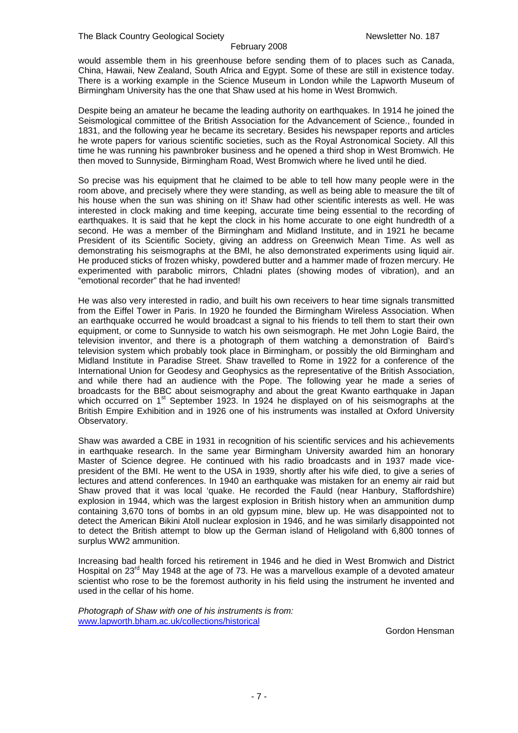#### February 2008

would assemble them in his greenhouse before sending them of to places such as Canada, China, Hawaii, New Zealand, South Africa and Egypt. Some of these are still in existence today. There is a working example in the Science Museum in London while the Lapworth Museum of Birmingham University has the one that Shaw used at his home in West Bromwich.

Despite being an amateur he became the leading authority on earthquakes. In 1914 he joined the Seismological committee of the British Association for the Advancement of Science., founded in 1831, and the following year he became its secretary. Besides his newspaper reports and articles he wrote papers for various scientific societies, such as the Royal Astronomical Society. All this time he was running his pawnbroker business and he opened a third shop in West Bromwich. He then moved to Sunnyside, Birmingham Road, West Bromwich where he lived until he died.

So precise was his equipment that he claimed to be able to tell how many people were in the room above, and precisely where they were standing, as well as being able to measure the tilt of his house when the sun was shining on it! Shaw had other scientific interests as well. He was interested in clock making and time keeping, accurate time being essential to the recording of earthquakes. It is said that he kept the clock in his home accurate to one eight hundredth of a second. He was a member of the Birmingham and Midland Institute, and in 1921 he became President of its Scientific Society, giving an address on Greenwich Mean Time. As well as demonstrating his seismographs at the BMI, he also demonstrated experiments using liquid air. He produced sticks of frozen whisky, powdered butter and a hammer made of frozen mercury. He experimented with parabolic mirrors, Chladni plates (showing modes of vibration), and an "emotional recorder" that he had invented!

He was also very interested in radio, and built his own receivers to hear time signals transmitted from the Eiffel Tower in Paris. In 1920 he founded the Birmingham Wireless Association. When an earthquake occurred he would broadcast a signal to his friends to tell them to start their own equipment, or come to Sunnyside to watch his own seismograph. He met John Logie Baird, the television inventor, and there is a photograph of them watching a demonstration of Baird's television system which probably took place in Birmingham, or possibly the old Birmingham and Midland Institute in Paradise Street. Shaw travelled to Rome in 1922 for a conference of the International Union for Geodesy and Geophysics as the representative of the British Association, and while there had an audience with the Pope. The following year he made a series of broadcasts for the BBC about seismography and about the great Kwanto earthquake in Japan which occurred on 1<sup>st</sup> September 1923. In 1924 he displayed on of his seismographs at the British Empire Exhibition and in 1926 one of his instruments was installed at Oxford University Observatory.

Shaw was awarded a CBE in 1931 in recognition of his scientific services and his achievements in earthquake research. In the same year Birmingham University awarded him an honorary Master of Science degree. He continued with his radio broadcasts and in 1937 made vicepresident of the BMI. He went to the USA in 1939, shortly after his wife died, to give a series of lectures and attend conferences. In 1940 an earthquake was mistaken for an enemy air raid but Shaw proved that it was local 'quake. He recorded the Fauld (near Hanbury, Staffordshire) explosion in 1944, which was the largest explosion in British history when an ammunition dump containing 3,670 tons of bombs in an old gypsum mine, blew up. He was disappointed not to detect the American Bikini Atoll nuclear explosion in 1946, and he was similarly disappointed not to detect the British attempt to blow up the German island of Heligoland with 6,800 tonnes of surplus WW2 ammunition.

Increasing bad health forced his retirement in 1946 and he died in West Bromwich and District Hospital on 23<sup>rd</sup> May 1948 at the age of 73. He was a marvellous example of a devoted amateur scientist who rose to be the foremost authority in his field using the instrument he invented and used in the cellar of his home.

*Photograph of Shaw with one of his instruments is from:*  [www.lapworth.bham.ac.uk/collections/historical](http://www.lapworth.bham.ac.uk/collections/historical)

Gordon Hensman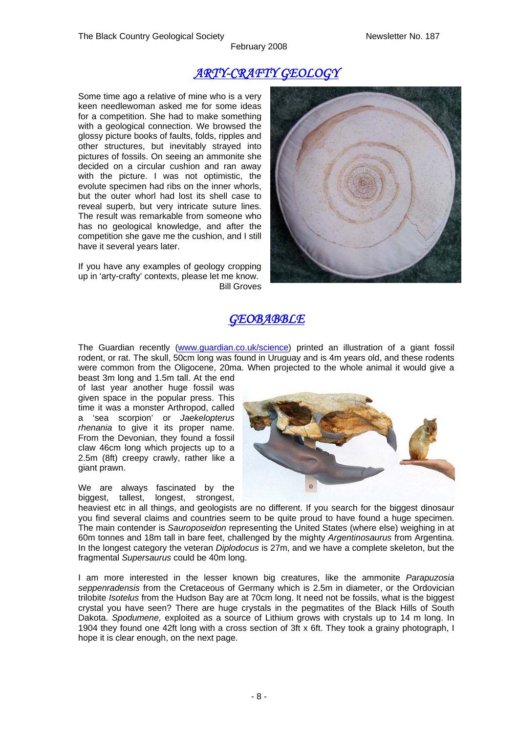February 2008

### *ARTY-CRAFTY GEOLOGY*

Some time ago a relative of mine who is a very keen needlewoman asked me for some ideas for a competition. She had to make something with a geological connection. We browsed the glossy picture books of faults, folds, ripples and other structures, but inevitably strayed into pictures of fossils. On seeing an ammonite she decided on a circular cushion and ran away with the picture. I was not optimistic, the evolute specimen had ribs on the inner whorls, but the outer whorl had lost its shell case to reveal superb, but very intricate suture lines. The result was remarkable from someone who has no geological knowledge, and after the competition she gave me the cushion, and I still have it several years later.

If you have any examples of geology cropping up in 'arty-crafty' contexts, please let me know. Bill Groves



### *GEOBABBLE*

The Guardian recently ([www.guardian.co.uk/science](http://www.guardian.co.uk/science)) printed an illustration of a giant fossil rodent, or rat. The skull, 50cm long was found in Uruguay and is 4m years old, and these rodents were common from the Oligocene, 20ma. When projected to the whole animal it would give a beast 3m long and 1.5m tall. At the end

of last year another huge fossil was given space in the popular press. This time it was a monster Arthropod, called a 'sea scorpion' or *Jaekelopterus rhenania* to give it its proper name. From the Devonian, they found a fossil claw 46cm long which projects up to a 2.5m (8ft) creepy crawly, rather like a giant prawn.

We are always fascinated by the biggest, tallest, longest, strongest,



heaviest etc in all things, and geologists are no different. If you search for the biggest dinosaur you find several claims and countries seem to be quite proud to have found a huge specimen. The main contender is *Sauroposeidon* representing the United States (where else) weighing in at 60m tonnes and 18m tall in bare feet, challenged by the mighty *Argentinosaurus* from Argentina. In the longest category the veteran *Diplodocus* is 27m, and we have a complete skeleton, but the fragmental *Supersaurus* could be 40m long.

I am more interested in the lesser known big creatures, like the ammonite *Parapuzosia seppenradensis* from the Cretaceous of Germany which is 2.5m in diameter, or the Ordovician trilobite *Isotelus* from the Hudson Bay are at 70cm long. It need not be fossils, what is the biggest crystal you have seen? There are huge crystals in the pegmatites of the Black Hills of South Dakota. *Spodumene,* exploited as a source of Lithium grows with crystals up to 14 m long. In 1904 they found one 42ft long with a cross section of 3ft x 6ft. They took a grainy photograph, I hope it is clear enough, on the next page.